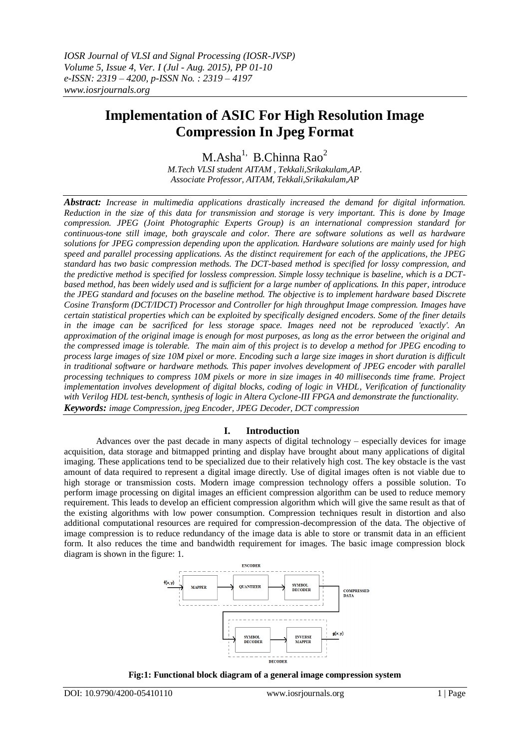# **Implementation of ASIC For High Resolution Image Compression In Jpeg Format**

 $M.Asha<sup>1</sup>$ , B.Chinna Rao<sup>2</sup> *M.Tech VLSI student AITAM , Tekkali,Srikakulam,AP. Associate Professor, AITAM, Tekkali,Srikakulam,AP*

*Abstract: Increase in multimedia applications drastically increased the demand for digital information. Reduction in the size of this data for transmission and storage is very important. This is done by Image compression. JPEG (Joint Photographic Experts Group) is an international compression standard for continuous-tone still image, both grayscale and color. There are software solutions as well as hardware solutions for JPEG compression depending upon the application. Hardware solutions are mainly used for high speed and parallel processing applications. As the distinct requirement for each of the applications, the JPEG standard has two basic compression methods. The DCT-based method is specified for lossy compression, and the predictive method is specified for lossless compression. Simple lossy technique is baseline, which is a DCTbased method, has been widely used and is sufficient for a large number of applications. In this paper, introduce the JPEG standard and focuses on the baseline method. The objective is to implement hardware based Discrete Cosine Transform (DCT/IDCT) Processor and Controller for high throughput Image compression. Images have certain statistical properties which can be exploited by specifically designed encoders. Some of the finer details in the image can be sacrificed for less storage space. Images need not be reproduced 'exactly'. An approximation of the original image is enough for most purposes, as long as the error between the original and the compressed image is tolerable. The main aim of this project is to develop a method for JPEG encoding to process large images of size 10M pixel or more. Encoding such a large size images in short duration is difficult in traditional software or hardware methods. This paper involves development of JPEG encoder with parallel processing techniques to compress 10M pixels or more in size images in 40 milliseconds time frame. Project implementation involves development of digital blocks, coding of logic in VHDL, Verification of functionality with Verilog HDL test-bench, synthesis of logic in Altera Cyclone-III FPGA and demonstrate the functionality. Keywords: image Compression, jpeg Encoder, JPEG Decoder, DCT compression*

## **I. Introduction**

Advances over the past decade in many aspects of digital technology – especially devices for image acquisition, data storage and bitmapped printing and display have brought about many applications of digital imaging. These applications tend to be specialized due to their relatively high cost. The key obstacle is the vast amount of data required to represent a digital image directly. Use of digital images often is not viable due to high storage or transmission costs. Modern image compression technology offers a possible solution. To perform image processing on digital images an efficient compression algorithm can be used to reduce memory requirement. This leads to develop an efficient compression algorithm which will give the same result as that of the existing algorithms with low power consumption. Compression techniques result in distortion and also additional computational resources are required for compression-decompression of the data. The objective of image compression is to reduce redundancy of the image data is able to store or transmit data in an efficient form. It also reduces the time and bandwidth requirement for images. The basic image compression block diagram is shown in the figure: 1.



**Fig:1: Functional block diagram of a general image compression system**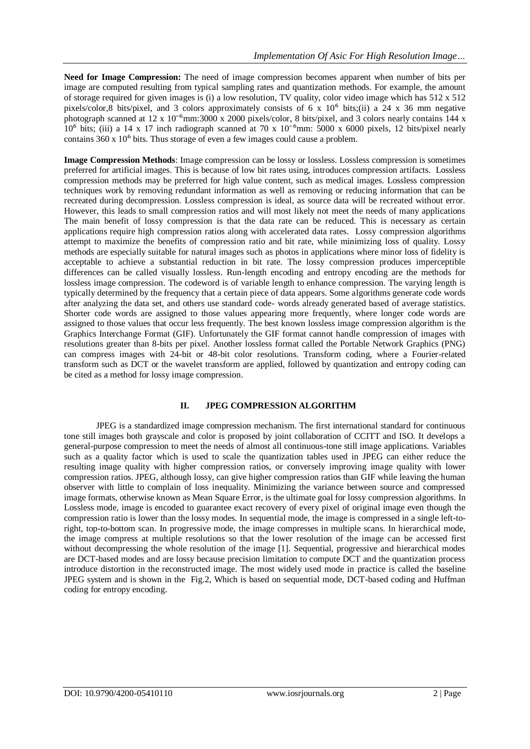**Need for Image Compression:** The need of image compression becomes apparent when number of bits per image are computed resulting from typical sampling rates and quantization methods. For example, the amount of storage required for given images is (i) a low resolution, TV quality, color video image which has  $512 \times 512$ pixels/color,8 bits/pixel, and 3 colors approximately consists of 6 x  $10^6$  bits;(ii) a 24 x 36 mm negative photograph scanned at  $12 \times 10^{-6}$ mm:3000 x 2000 pixels/color, 8 bits/pixel, and 3 colors nearly contains 144 x  $10^6$  bits; (iii) a 14 x 17 inch radiograph scanned at 70 x  $10^{-6}$ mm: 5000 x 6000 pixels, 12 bits/pixel nearly contains  $360 \times 10^6$  bits. Thus storage of even a few images could cause a problem.

**Image Compression Methods**: Image compression can be lossy or lossless. Lossless compression is sometimes preferred for artificial images. This is because of low bit rates using, introduces compression artifacts. Lossless compression methods may be preferred for high value content, such as medical images. Lossless compression techniques work by removing redundant information as well as removing or reducing information that can be recreated during decompression. Lossless compression is ideal, as source data will be recreated without error. However, this leads to small compression ratios and will most likely not meet the needs of many applications The main benefit of lossy compression is that the data rate can be reduced. This is necessary as certain applications require high compression ratios along with accelerated data rates. Lossy compression algorithms attempt to maximize the benefits of compression ratio and bit rate, while minimizing loss of quality. Lossy methods are especially suitable for natural images such as photos in applications where minor loss of fidelity is acceptable to achieve a substantial reduction in bit rate. The lossy compression produces imperceptible differences can be called visually lossless. Run-length encoding and entropy encoding are the methods for lossless image compression. The codeword is of variable length to enhance compression. The varying length is typically determined by the frequency that a certain piece of data appears. Some algorithms generate code words after analyzing the data set, and others use standard code- words already generated based of average statistics. Shorter code words are assigned to those values appearing more frequently, where longer code words are assigned to those values that occur less frequently. The best known lossless image compression algorithm is the Graphics Interchange Format (GIF). Unfortunately the GIF format cannot handle compression of images with resolutions greater than 8-bits per pixel. Another lossless format called the Portable Network Graphics (PNG) can compress images with 24-bit or 48-bit color resolutions. Transform coding, where a Fourier-related transform such as DCT or the wavelet transform are applied, followed by quantization and entropy coding can be cited as a method for lossy image compression.

#### **II. JPEG COMPRESSION ALGORITHM**

JPEG is a standardized image compression mechanism. The first international standard for continuous tone still images both grayscale and color is proposed by joint collaboration of CCITT and ISO. It develops a general-purpose compression to meet the needs of almost all continuous-tone still image applications. Variables such as a quality factor which is used to scale the quantization tables used in JPEG can either reduce the resulting image quality with higher compression ratios, or conversely improving image quality with lower compression ratios. JPEG, although lossy, can give higher compression ratios than GIF while leaving the human observer with little to complain of loss inequality. Minimizing the variance between source and compressed image formats, otherwise known as Mean Square Error, is the ultimate goal for lossy compression algorithms. In Lossless mode, image is encoded to guarantee exact recovery of every pixel of original image even though the compression ratio is lower than the lossy modes. In sequential mode, the image is compressed in a single left-toright, top-to-bottom scan. In progressive mode, the image compresses in multiple scans. In hierarchical mode, the image compress at multiple resolutions so that the lower resolution of the image can be accessed first without decompressing the whole resolution of the image [1]. Sequential, progressive and hierarchical modes are DCT-based modes and are lossy because precision limitation to compute DCT and the quantization process introduce distortion in the reconstructed image. The most widely used mode in practice is called the baseline JPEG system and is shown in the Fig.2, Which is based on sequential mode, DCT-based coding and Huffman coding for entropy encoding.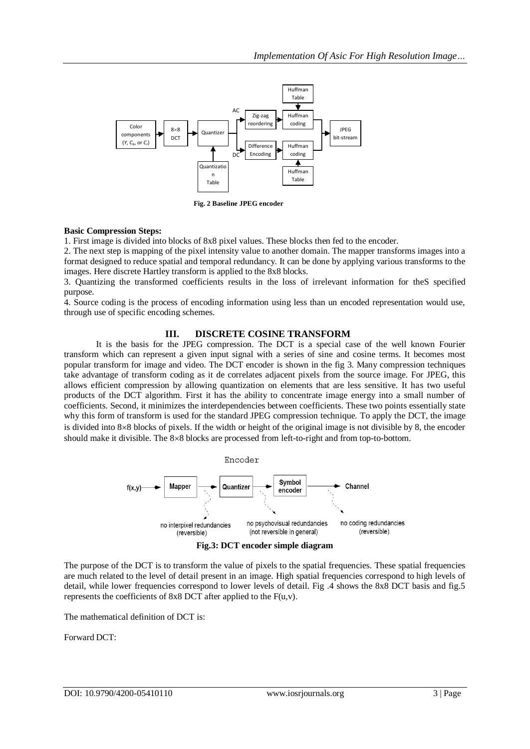

**Fig. 2 Baseline JPEG encoder**

#### **Basic Compression Steps:**

1. First image is divided into blocks of 8x8 pixel values. These blocks then fed to the encoder.

2. The next step is mapping of the pixel intensity value to another domain. The mapper transforms images into a format designed to reduce spatial and temporal redundancy. It can be done by applying various transforms to the images. Here discrete Hartley transform is applied to the 8x8 blocks.

3. Quantizing the transformed coefficients results in the loss of irrelevant information for theS specified purpose.

4. Source coding is the process of encoding information using less than un encoded representation would use, through use of specific encoding schemes.

#### **III. DISCRETE COSINE TRANSFORM**

It is the basis for the JPEG compression. The DCT is a special case of the well known Fourier transform which can represent a given input signal with a series of sine and cosine terms. It becomes most popular transform for image and video. The DCT encoder is shown in the fig 3. Many compression techniques take advantage of transform coding as it de correlates adjacent pixels from the source image. For JPEG, this allows efficient compression by allowing quantization on elements that are less sensitive. It has two useful products of the DCT algorithm. First it has the ability to concentrate image energy into a small number of coefficients. Second, it minimizes the interdependencies between coefficients. These two points essentially state why this form of transform is used for the standard JPEG compression technique. To apply the DCT, the image is divided into  $8\times 8$  blocks of pixels. If the width or height of the original image is not divisible by 8, the encoder should make it divisible. The 8×8 blocks are processed from left-to-right and from top-to-bottom.



**Fig.3: DCT encoder simple diagram**

The purpose of the DCT is to transform the value of pixels to the spatial frequencies. These spatial frequencies are much related to the level of detail present in an image. High spatial frequencies correspond to high levels of detail, while lower frequencies correspond to lower levels of detail. Fig .4 shows the 8x8 DCT basis and fig.5 represents the coefficients of 8x8 DCT after applied to the  $F(u,v)$ .

The mathematical definition of DCT is:

Forward DCT: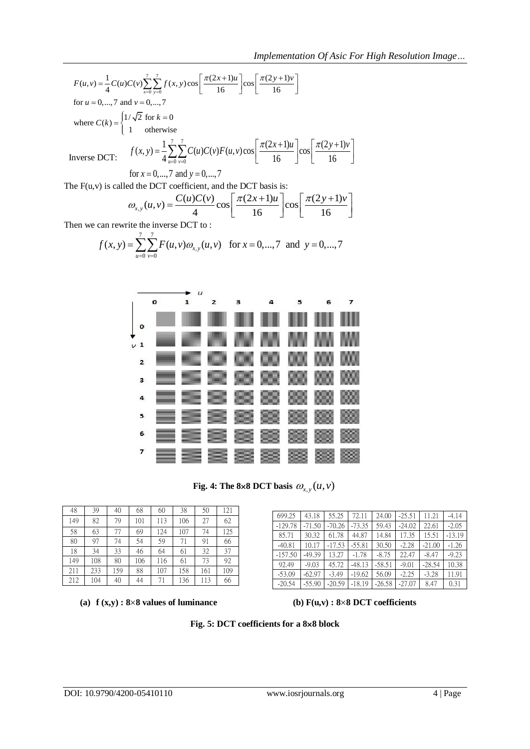*Implementation Of Asic For High Resolution Image*...  
\n
$$
F(u,v) = \frac{1}{4}C(u)C(v)\sum_{x=0}^{7}\sum_{y=0}^{7}f(x,y)\cos\left[\frac{\pi(2x+1)u}{16}\right]\cos\left[\frac{\pi(2y+1)v}{16}\right]
$$
\nfor  $u = 0,..., 7$  and  $v = 0,..., 7$   
\nwhere  $C(k) = \begin{cases} 1/\sqrt{2} \text{ for } k = 0\\ 1 \text{ otherwise} \end{cases}$   
\nInverse DCT:  $f(x,y) = \frac{1}{4}\sum_{u=0}^{7}\sum_{y=0}^{7}C(u)C(v)F(u,v)\cos\left[\frac{\pi(2x+1)u}{16}\right]\cos\left[\frac{\pi(2y+1)v}{16}\right]$   
\nfor  $x = 0,..., 7$  and  $y = 0,..., 7$ 

The  $F(u, v)$  is called the DCT coefficient, and the DCT basis is:

for 
$$
x = 0,...,7
$$
 and  $y = 0,...,7$   
ed the DCT coefficient, and the DCT basis is:  

$$
\omega_{x,y}(u,v) = \frac{C(u)C(v)}{4} \cos \left[\frac{\pi(2x+1)u}{16}\right] \cos \left[\frac{\pi(2y+1)v}{16}\right]
$$

$$
\omega_{x,y}(u,v) = \frac{C(u)C(v)}{4}\cos\left[\frac{\pi(2x+1)u}{16}\right]\cos\left[\frac{\pi(2y+1)v}{16}\right]
$$
  
Then we can rewrite the inverse DCT to :  

$$
f(x,y) = \sum_{u=0}^{7} \sum_{v=0}^{7} F(u,v)\omega_{x,y}(u,v) \text{ for } x = 0,...,7 \text{ and } y = 0,...,7
$$



Fig. 4: The 8×8 DCT basis  $\omega_{x,y}(u,v)$ 

| 48  | 39  | 40  | 68  | 60  | 38  | 50  | 121 |
|-----|-----|-----|-----|-----|-----|-----|-----|
| 149 | 82  | 79  | 101 | 113 | 106 | 27  | 62  |
| 58  | 63  | 77  | 69  | 124 | 107 | 74  | 125 |
| 80  | 97  | 74  | 54  | 59  | 71  | 91  | 66  |
| 18  | 34  | 33  | 46  | 64  | 61  | 32  | 37  |
| 149 | 108 | 80  | 106 | 116 | 61  | 73  | 92  |
| 211 | 233 | 159 | 88  | 107 | 158 | 161 | 109 |
| 212 | 104 | 40  | 44  | 71  | 136 | 113 | 66  |

(a)  $f(x,y)$ :  $8\times 8$  values of luminance **(b)**  $F(u,y)$ :  $8\times 8$  DCT coefficients

| 699.25    | 43.18    | 55.25    | 72.11    | 24.00    | $-25.51$ | 11.21    | $-4.14$  |
|-----------|----------|----------|----------|----------|----------|----------|----------|
| $-129.78$ | $-71.50$ | $-70.26$ | $-73.35$ | 59.43    | $-24.02$ | 22.61    | $-2.05$  |
| 85.71     | 30.32    | 61.78    | 44.87    | 14.84    | 17.35    | 15.51    | $-13.19$ |
| $-40.81$  | 10.17    | $-17.53$ | $-55.81$ | 30.50    | $-2.28$  | $-21.00$ | $-1.26$  |
| $-157.50$ | $-49.39$ | 13.27    | $-1.78$  | $-8.75$  | 22.47    | $-8.47$  | $-9.23$  |
| 92.49     | $-9.03$  | 45.72    | $-48.13$ | $-58.51$ | $-9.01$  | $-28.54$ | 10.38    |
| $-53.09$  | $-62.97$ | $-3.49$  | $-19.62$ | 56.09    | $-2.25$  | $-3.28$  | 11.91    |
| $-20.54$  | $-55.90$ | $-20.59$ | $-18.19$ | $-26.58$ | $-27.07$ | 8.47     | 0.31     |

**Fig. 5: DCT coefficients for a 88 block**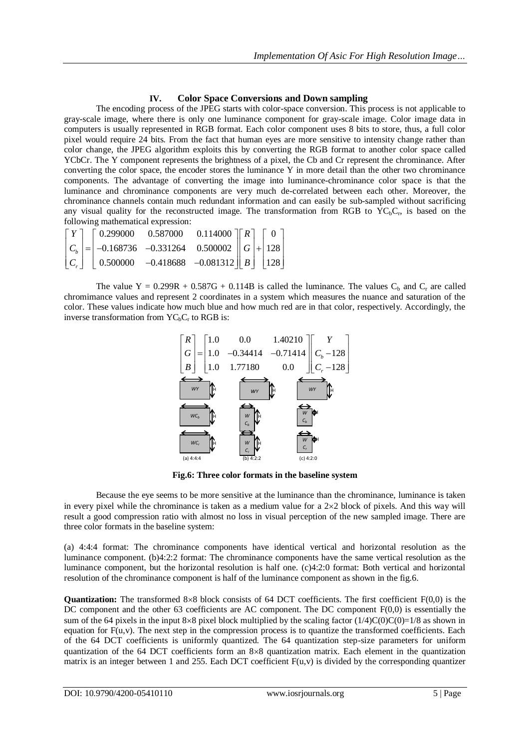#### **IV. Color Space Conversions and Down sampling**

The encoding process of the JPEG starts with color-space conversion. This process is not applicable to gray-scale image, where there is only one luminance component for gray-scale image. Color image data in computers is usually represented in RGB format. Each color component uses 8 bits to store, thus, a full color pixel would require 24 bits. From the fact that human eyes are more sensitive to intensity change rather than color change, the JPEG algorithm exploits this by converting the RGB format to another color space called YCbCr. The Y component represents the brightness of a pixel, the Cb and Cr represent the chrominance. After converting the color space, the encoder stores the luminance Y in more detail than the other two chrominance components. The advantage of converting the image into luminance-chrominance color space is that the luminance and chrominance components are very much de-correlated between each other. Moreover, the chrominance channels contain much redundant information and can easily be sub-sampled without sacrificing any visual quality for the reconstructed image. The transformation from RGB to YC<sub>b</sub>C<sub>r</sub>, is based on the following mathematical expression:<br>  $\begin{bmatrix} Y \end{bmatrix} \begin{bmatrix} 0.299000 & 0.587000 & 0.114000 \end{bmatrix} \begin{bmatrix} R \end{bmatrix} \begin{bmatrix} 0 \end{$ following mathematical expression:

|  | following mathematical expression:                                                                                                                                                                                                                                               |  |  |  |
|--|----------------------------------------------------------------------------------------------------------------------------------------------------------------------------------------------------------------------------------------------------------------------------------|--|--|--|
|  |                                                                                                                                                                                                                                                                                  |  |  |  |
|  | $\begin{bmatrix} Y \\ C_b \\ C_r \end{bmatrix} = \begin{bmatrix} 0.299000 & 0.587000 & 0.114000 \\ -0.168736 & -0.331264 & 0.500002 \\ 0.500000 & -0.418688 & -0.081312 \end{bmatrix} \begin{bmatrix} R \\ G \\ B \end{bmatrix} + \begin{bmatrix} 0 \\ 128 \\ 128 \end{bmatrix}$ |  |  |  |
|  |                                                                                                                                                                                                                                                                                  |  |  |  |
|  |                                                                                                                                                                                                                                                                                  |  |  |  |

The value  $Y = 0.299R + 0.587G + 0.114B$  is called the luminance. The values  $C_b$  and  $C_r$  are called chromimance values and represent 2 coordinates in a system which measures the nuance and saturation of the color. These values indicate how much blue and how much red are in that color, respectively. Accordingly, the inverse transformation from  $YC<sub>b</sub>C<sub>r</sub>$  to RGB is:



**Fig.6: Three color formats in the baseline system**

Because the eye seems to be more sensitive at the luminance than the chrominance, luminance is taken in every pixel while the chrominance is taken as a medium value for a  $2\times2$  block of pixels. And this way will result a good compression ratio with almost no loss in visual perception of the new sampled image. There are three color formats in the baseline system:

(a) 4:4:4 format: The chrominance components have identical vertical and horizontal resolution as the luminance component. (b)4:2:2 format: The chrominance components have the same vertical resolution as the luminance component, but the horizontal resolution is half one. (c)4:2:0 format: Both vertical and horizontal resolution of the chrominance component is half of the luminance component as shown in the fig.6.

**Quantization:** The transformed 8×8 block consists of 64 DCT coefficients. The first coefficient  $F(0,0)$  is the DC component and the other 63 coefficients are AC component. The DC component  $F(0,0)$  is essentially the sum of the 64 pixels in the input 8×8 pixel block multiplied by the scaling factor  $(1/4)C(0)C(0)=1/8$  as shown in equation for F(u,v). The next step in the compression process is to quantize the transformed coefficients. Each of the 64 DCT coefficients is uniformly quantized. The 64 quantization step-size parameters for uniform quantization of the 64 DCT coefficients form an  $8\times 8$  quantization matrix. Each element in the quantization matrix is an integer between 1 and 255. Each DCT coefficient  $F(u,v)$  is divided by the corresponding quantizer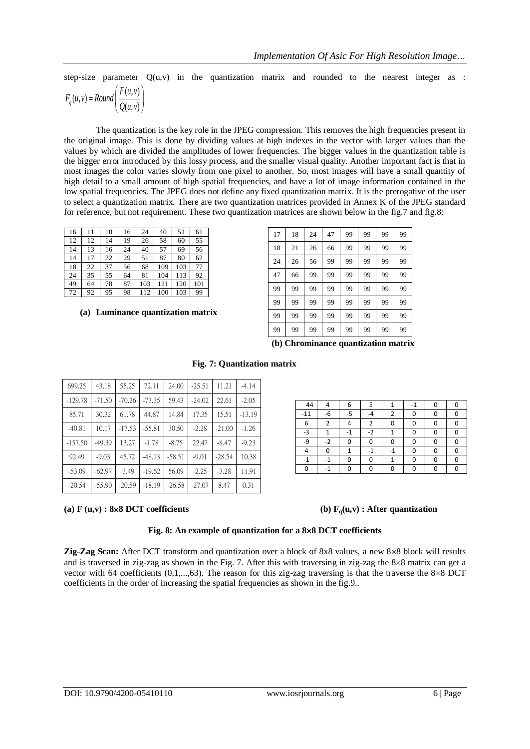step-size parameter  $Q(u, v)$  in the quantization matrix and rounded to the nearest integer as :

$$
F_q(u, v) = Round\left(\frac{F(u, v)}{Q(u, v)}\right)
$$

The quantization is the key role in the JPEG compression. This removes the high frequencies present in the original image. This is done by dividing values at high indexes in the vector with larger values than the values by which are divided the amplitudes of lower frequencies. The bigger values in the quantization table is the bigger error introduced by this lossy process, and the smaller visual quality. Another important fact is that in most images the color varies slowly from one pixel to another. So, most images will have a small quantity of high detail to a small amount of high spatial frequencies, and have a lot of image information contained in the low spatial frequencies. The JPEG does not define any fixed quantization matrix. It is the prerogative of the user to select a quantization matrix. There are two quantization matrices provided in Annex K of the JPEG standard for reference, but not requirement. These two quantization matrices are shown below in the fig.7 and fig.8:

| 16 | 11 | 10 | 16 | 24  | 40  | 51  | 61  |
|----|----|----|----|-----|-----|-----|-----|
| 12 | 12 | 14 | 19 | 26  | 58  | 60  | 55  |
| 14 | 13 | 16 | 24 | 40  | 57  | 69  | 56  |
| 14 | 17 | 22 | 29 | 51  | 87  | 80  | 62  |
| 18 | 22 | 37 | 56 | 68  | 109 | 103 | 77  |
| 24 | 35 | 55 | 64 | 81  | 104 | 113 | 92  |
| 49 | 64 | 78 | 87 | 103 | 121 | 120 | 101 |
| 72 | 92 | 95 | 98 | 112 | 100 | 103 | 99  |

**(a) Luminance quantization matrix** 

| 17 | 18 | 24 | 47 | 99 | 99 | 99 | 99 |
|----|----|----|----|----|----|----|----|
| 18 | 21 | 26 | 66 | 99 | 99 | 99 | 99 |
| 24 | 26 | 56 | 99 | 99 | 99 | 99 | 99 |
| 47 | 66 | 99 | 99 | 99 | 99 | 99 | 99 |
| 99 | 99 | 99 | 99 | 99 | 99 | 99 | 99 |
| 99 | 99 | 99 | 99 | 99 | 99 | 99 | 99 |
| 99 | 99 | 99 | 99 | 99 | 99 | 99 | 99 |
| 99 | 99 | 99 | 99 | 99 | 99 | 99 | 99 |

 **(b) Chrominance quantization matrix**

| 699.25    | 43.18    | 55.25    | 72.11    | 24.00    | $-25.51$ | 11.21    | $-4.14$  |
|-----------|----------|----------|----------|----------|----------|----------|----------|
| $-129.78$ | $-71.50$ | $-70.26$ | $-73.35$ | 59.43    | $-24.02$ | 22.61    | $-2.05$  |
| 85.71     | 30.32    | 61.78    | 44.87    | 14.84    | 17.35    | 15.51    | $-13.19$ |
| $-40.81$  | 10.17    | $-17.53$ | $-55.81$ | 30.50    | $-2.28$  | $-21.00$ | $-1.26$  |
| $-157.50$ | $-49.39$ | 13.27    | $-1.78$  | $-8.75$  | 22.47    | $-8.47$  | $-9.23$  |
| 92.49     | $-9.03$  | 45.72    | $-48.13$ | $-58.51$ | $-9.01$  | $-28.54$ | 10.38    |
| $-53.09$  | $-62.97$ | $-3.49$  | $-19.62$ | 56.09    | $-2.25$  | $-3.28$  | 11.91    |
| $-20.54$  | $-55.90$ | $-20.59$ | $-18.19$ | $-26.58$ | $-27.07$ | 8.47     | 0.31     |

### **Fig. 7: Quantization matrix**

**44 4 6 5 1 -1 0 0**  $-11$   $-6$   $-5$   $-4$   $2$  0 0 0 0 6 2 4 2 0 0 0 0  $-3$  | 1 | -1 | -2 | 1 | 0 | 0 | 0 -9 | -2 | 0 | 0 | 0 | 0 | 0 | 0 4 0 1 -1 -1 0 0 0  $-1$   $-1$   $0$   $0$   $1$   $0$   $0$   $0$ 0  $0$  -1 0 0 0 0 0 0 0 0

#### (a)  $\mathbf{F}(\mathbf{u}, \mathbf{v})$  : 8×8 DCT coefficients (b)  $\mathbf{F}_q(\mathbf{u}, \mathbf{v})$  : After quantization

#### **Fig. 8: An example of quantization for a 88 DCT coefficients**

**Zig-Zag Scan:** After DCT transform and quantization over a block of 8x8 values, a new 8×8 block will results and is traversed in zig-zag as shown in the Fig. 7. After this with traversing in zig-zag the  $8 \times 8$  matrix can get a vector with 64 coefficients  $(0,1,...,63)$ . The reason for this zig-zag traversing is that the traverse the 8×8 DCT coefficients in the order of increasing the spatial frequencies as shown in the fig.9..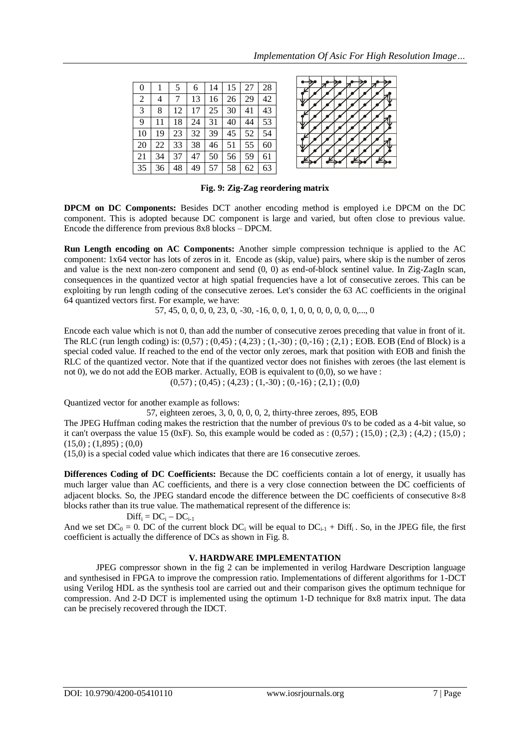| $\overline{0}$ |    | 5  | 6  | 14 | 15 | 27 | 28 |
|----------------|----|----|----|----|----|----|----|
| 2              | 4  | 7  | 13 | 16 | 26 | 29 | 42 |
| 3              | 8  | 12 | 17 | 25 | 30 | 41 | 43 |
| 9              | 11 | 18 | 24 | 31 | 40 | 44 | 53 |
| 10             | 19 | 23 | 32 | 39 | 45 | 52 | 54 |
| 20             | 22 | 33 | 38 | 46 | 51 | 55 | 60 |
| 21             | 34 | 37 | 47 | 50 | 56 | 59 | 61 |
| 35             | 36 | 48 | 49 | 57 | 58 | 62 | 63 |

**Fig. 9: Zig-Zag reordering matrix**

**DPCM on DC Components:** Besides DCT another encoding method is employed i.e DPCM on the DC component. This is adopted because DC component is large and varied, but often close to previous value. Encode the difference from previous 8x8 blocks – DPCM.

**Run Length encoding on AC Components:** Another simple compression technique is applied to the AC component: 1x64 vector has lots of zeros in it. Encode as (skip, value) pairs, where skip is the number of zeros and value is the next non-zero component and send (0, 0) as end-of-block sentinel value. In Zig-ZagIn scan, consequences in the quantized vector at high spatial frequencies have a lot of consecutive zeroes. This can be exploiting by run length coding of the consecutive zeroes. Let's consider the 63 AC coefficients in the original 64 quantized vectors first. For example, we have:

57, 45, 0, 0, 0, 0, 23, 0, -30, -16, 0, 0, 1, 0, 0, 0, 0, 0, 0, 0,..., 0

Encode each value which is not 0, than add the number of consecutive zeroes preceding that value in front of it. The RLC (run length coding) is: (0,57) ; (0,45) ; (4,23) ; (1,-30) ; (0,-16) ; (2,1) ; EOB. EOB (End of Block) is a special coded value. If reached to the end of the vector only zeroes, mark that position with EOB and finish the RLC of the quantized vector. Note that if the quantized vector does not finishes with zeroes (the last element is not 0), we do not add the EOB marker. Actually, EOB is equivalent to (0,0), so we have :

 $(0,57)$ ;  $(0,45)$ ;  $(4,23)$ ;  $(1,-30)$ ;  $(0,-16)$ ;  $(2,1)$ ;  $(0,0)$ 

Quantized vector for another example as follows:

57, eighteen zeroes, 3, 0, 0, 0, 0, 2, thirty-three zeroes, 895, EOB

The JPEG Huffman coding makes the restriction that the number of previous 0's to be coded as a 4-bit value, so it can't overpass the value 15 (0xF). So, this example would be coded as :  $(0,57)$ ;  $(15,0)$ ;  $(2,3)$ ;  $(4,2)$ ;  $(15,0)$ ;  $(15,0)$ ;  $(1,895)$ ;  $(0,0)$ 

(15,0) is a special coded value which indicates that there are 16 consecutive zeroes.

**Differences Coding of DC Coefficients:** Because the DC coefficients contain a lot of energy, it usually has much larger value than AC coefficients, and there is a very close connection between the DC coefficients of adjacent blocks. So, the JPEG standard encode the difference between the DC coefficients of consecutive  $8\times 8$ blocks rather than its true value. The mathematical represent of the difference is:

#### $Diff_i = DC_i - DC_{i-1}$

And we set  $DC_0 = 0$ . DC of the current block  $DC_i$  will be equal to  $DC_{i-1}$  + Diff<sub>i</sub>. So, in the JPEG file, the first coefficient is actually the difference of DCs as shown in Fig. 8.

#### **V. HARDWARE IMPLEMENTATION**

JPEG compressor shown in the fig 2 can be implemented in verilog Hardware Description language and synthesised in FPGA to improve the compression ratio. Implementations of different algorithms for 1-DCT using Verilog HDL as the synthesis tool are carried out and their comparison gives the optimum technique for compression. And 2-D DCT is implemented using the optimum 1-D technique for 8x8 matrix input. The data can be precisely recovered through the IDCT.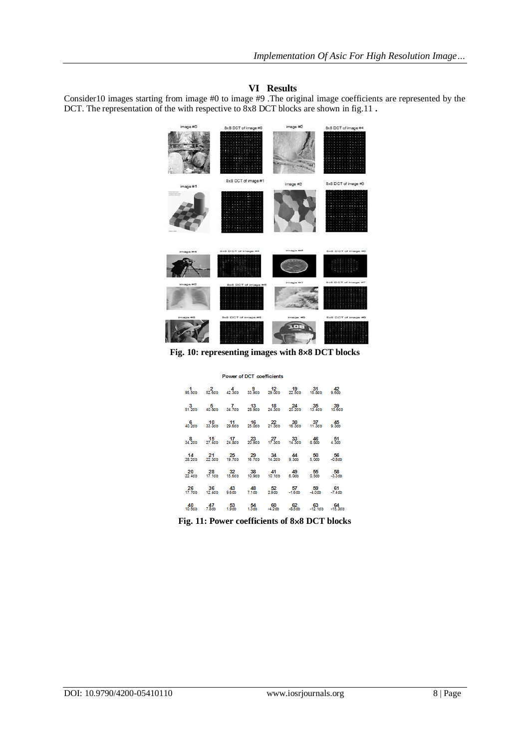### **VI Results**

Consider10 images starting from image #0 to image #9 .The original image coefficients are represented by the DCT. The representation of the with respective to 8x8 DCT blocks are shown in fig.11 **.**



**Fig. 10: representing images with 88 DCT blocks**

| <b>Power of DCT coefficients</b> |  |  |  |  |  |                                                                                   |  |  |  |
|----------------------------------|--|--|--|--|--|-----------------------------------------------------------------------------------|--|--|--|
|                                  |  |  |  |  |  | 1 2 4 9 12 19 31 42<br>95.5db 52.6db 42.3db 33.9db 29.0db 22.5db 15.8db 9.6db     |  |  |  |
|                                  |  |  |  |  |  | 3 5 7 13 18 24 35 39<br>51.2db 40.8db 34.7db 28.9db 24.3db 20.2db 13.4db 10.6db   |  |  |  |
|                                  |  |  |  |  |  | 6 10 11 16 22 30 37 45<br>40.2db 33.3db 29.6db 25.0db 21.3db 16.3db 11.3db 9.3db  |  |  |  |
|                                  |  |  |  |  |  | 8 15 17 23 27 33 46 51<br>34.2db 27.4db 24.8db 20.9db 17.3db 14.3db 8.8db 4.3db   |  |  |  |
|                                  |  |  |  |  |  |                                                                                   |  |  |  |
|                                  |  |  |  |  |  | 20 28 32 38 41 49 55 58<br>22.4db 17.1db 15.6db 10.9db 10.1db 6.0db 0.5db -3.3db  |  |  |  |
|                                  |  |  |  |  |  | 26 36 43 48 52 57 59 61<br>17.7db 12.4db 9.6db 7.1db 2.9db -1.6db -4.0db -7.4db   |  |  |  |
|                                  |  |  |  |  |  | 40 47 53 54 60 62 63 64<br>10.5db 7.8db 1.9db 1.3db -4.2db -8.5db -12.1db -15.3db |  |  |  |

**Fig. 11: Power coefficients of 88 DCT blocks**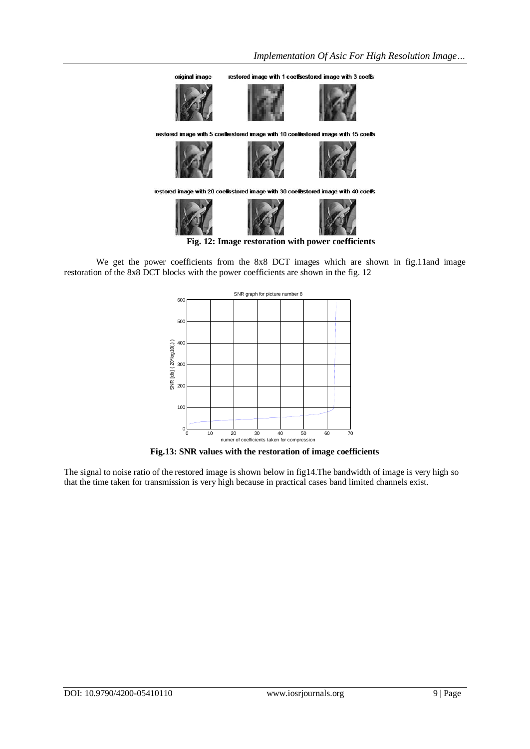

**Fig. 12: Image restoration with power coefficients**

We get the power coefficients from the 8x8 DCT images which are shown in fig.11and image restoration of the 8x8 DCT blocks with the power coefficients are shown in the fig. 12



**Fig.13: SNR values with the restoration of image coefficients** 

The signal to noise ratio of the restored image is shown below in fig14.The bandwidth of image is very high so that the time taken for transmission is very high because in practical cases band limited channels exist.